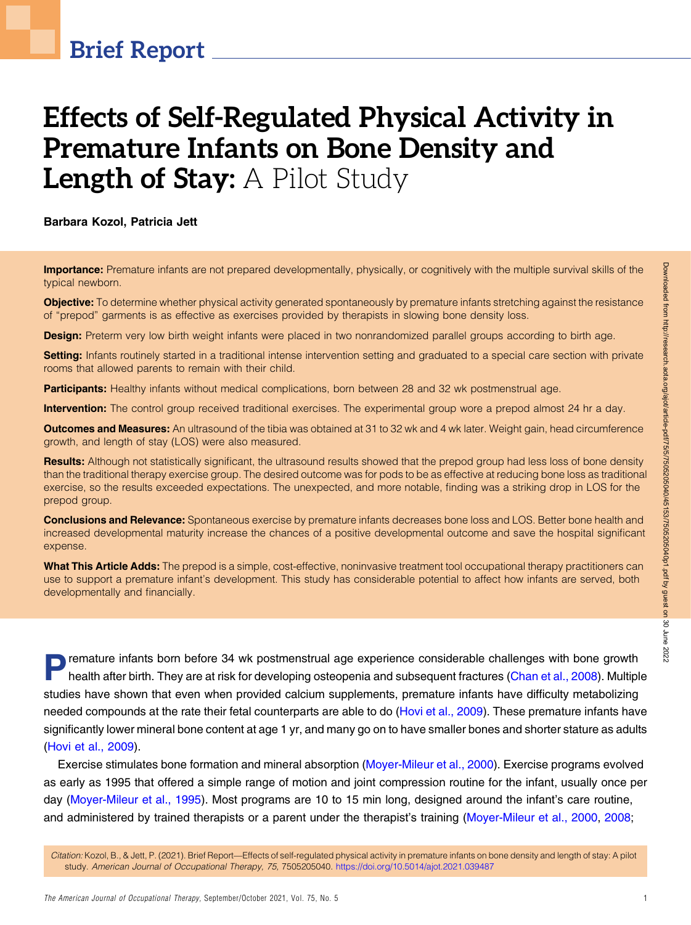# Effects of Self-Regulated Physical Activity in Premature Infants on Bone Density and Length of Stay: A Pilot Study

Barbara Kozol, Patricia Jett

**Importance:** Premature infants are not prepared developmentally, physically, or cognitively with the multiple survival skills of the typical newborn.

Objective: To determine whether physical activity generated spontaneously by premature infants stretching against the resistance of "prepod" garments is as effective as exercises provided by therapists in slowing bone density loss.

**Design:** Preterm very low birth weight infants were placed in two nonrandomized parallel groups according to birth age.

Setting: Infants routinely started in a traditional intense intervention setting and graduated to a special care section with private rooms that allowed parents to remain with their child.

Participants: Healthy infants without medical complications, born between 28 and 32 wk postmenstrual age.

Intervention: The control group received traditional exercises. The experimental group wore a prepod almost 24 hr a day.

**Outcomes and Measures:** An ultrasound of the tibia was obtained at 31 to 32 wk and 4 wk later. Weight gain, head circumference growth, and length of stay (LOS) were also measured.

Results: Although not statistically significant, the ultrasound results showed that the prepod group had less loss of bone density than the traditional therapy exercise group. The desired outcome was for pods to be as effective at reducing bone loss as traditional exercise, so the results exceeded expectations. The unexpected, and more notable, finding was a striking drop in LOS for the prepod group.

Conclusions and Relevance: Spontaneous exercise by premature infants decreases bone loss and LOS. Better bone health and increased developmental maturity increase the chances of a positive developmental outcome and save the hospital significant expense.

What This Article Adds: The prepod is a simple, cost-effective, noninvasive treatment tool occupational therapy practitioners can use to support a premature infant's development. This study has considerable potential to affect how infants are served, both developmentally and financially.

**Premature infants born before 34 wk postmenstrual age experience considerable challenges with bone growth health after birth. They are at risk for developing osteopenia and subsequent fractures [\(Chan et al., 2008\)](#page-6-0). Multip** studies have shown that even when provided calcium supplements, premature infants have difficulty metabolizing needed compounds at the rate their fetal counterparts are able to do [\(Hovi et al., 2009\)](#page-6-1). These premature infants have significantly lower mineral bone content at age 1 yr, and many go on to have smaller bones and shorter stature as adults [\(Hovi et al., 2009](#page-6-1)).

Exercise stimulates bone formation and mineral absorption ([Moyer-Mileur et al., 2000\)](#page-6-2). Exercise programs evolved as early as 1995 that offered a simple range of motion and joint compression routine for the infant, usually once per day ([Moyer-Mileur et al., 1995](#page-6-3)). Most programs are 10 to 15 min long, designed around the infant's care routine, and administered by trained therapists or a parent under the therapist's training [\(Moyer-Mileur et al., 2000,](#page-6-2) [2008](#page-6-4);

Citation: Kozol, B., & Jett, P. (2021). Brief Report—Effects of self-regulated physical activity in premature infants on bone density and length of stay: A pilot study. American Journal of Occupational Therapy, 75, 7505205040. <https://doi.org/10.5014/ajot.2021.039487>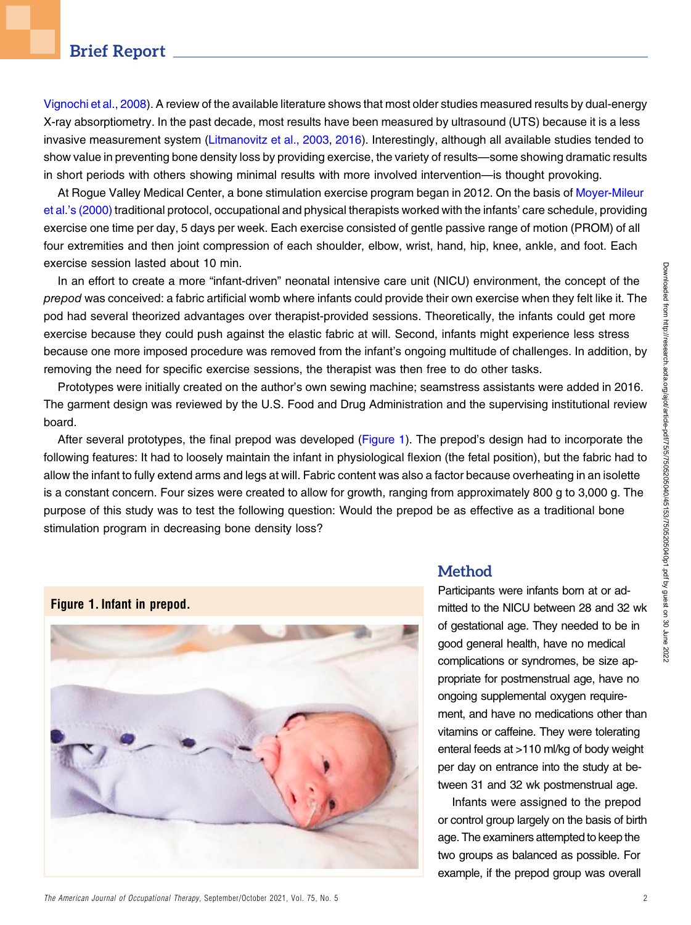# Downloaded from http://research.aota.org/ajou/article-pdf/75/5/7505205040/45153/7505205040p1.pdf by guest on 30 June 2022 Downloaded from http://research.aota.org/ajot/article-pdf/75/5/7505205040/45153/7505205040p1.pdf by guest on 30 June 2022

# Brief Report

[Vignochi et al., 2008](#page-6-5)). A review of the available literature shows that most older studies measured results by dual-energy X-ray absorptiometry. In the past decade, most results have been measured by ultrasound (UTS) because it is a less invasive measurement system ([Litmanovitz et al., 2003,](#page-6-6) [2016](#page-6-7)). Interestingly, although all available studies tended to show value in preventing bone density loss by providing exercise, the variety of results—some showing dramatic results in short periods with others showing minimal results with more involved intervention—is thought provoking.

At Rogue Valley Medical Center, a bone stimulation exercise program began in 2012. On the basis of [Moyer-Mileur](#page-6-2) et al.'[s \(2000\)](#page-6-2) traditional protocol, occupational and physical therapists worked with the infants' care schedule, providing exercise one time per day, 5 days per week. Each exercise consisted of gentle passive range of motion (PROM) of all four extremities and then joint compression of each shoulder, elbow, wrist, hand, hip, knee, ankle, and foot. Each exercise session lasted about 10 min.

In an effort to create a more "infant-driven" neonatal intensive care unit (NICU) environment, the concept of the prepod was conceived: a fabric artificial womb where infants could provide their own exercise when they felt like it. The pod had several theorized advantages over therapist-provided sessions. Theoretically, the infants could get more exercise because they could push against the elastic fabric at will. Second, infants might experience less stress because one more imposed procedure was removed from the infant's ongoing multitude of challenges. In addition, by removing the need for specific exercise sessions, the therapist was then free to do other tasks.

Prototypes were initially created on the author's own sewing machine; seamstress assistants were added in 2016. The garment design was reviewed by the U.S. Food and Drug Administration and the supervising institutional review board.

After several prototypes, the final prepod was developed [\(Figure 1](#page-1-0)). The prepod's design had to incorporate the following features: It had to loosely maintain the infant in physiological flexion (the fetal position), but the fabric had to allow the infant to fully extend arms and legs at will. Fabric content was also a factor because overheating in an isolette is a constant concern. Four sizes were created to allow for growth, ranging from approximately 800 g to 3,000 g. The purpose of this study was to test the following question: Would the prepod be as effective as a traditional bone stimulation program in decreasing bone density loss?

<span id="page-1-0"></span>

#### **Method**

Participants were infants born at or admitted to the NICU between 28 and 32 wk of gestational age. They needed to be in good general health, have no medical complications or syndromes, be size appropriate for postmenstrual age, have no ongoing supplemental oxygen requirement, and have no medications other than vitamins or caffeine. They were tolerating enteral feeds at >110 ml/kg of body weight per day on entrance into the study at between 31 and 32 wk postmenstrual age.

Infants were assigned to the prepod or control group largely on the basis of birth age. The examiners attempted to keep the two groups as balanced as possible. For example, if the prepod group was overall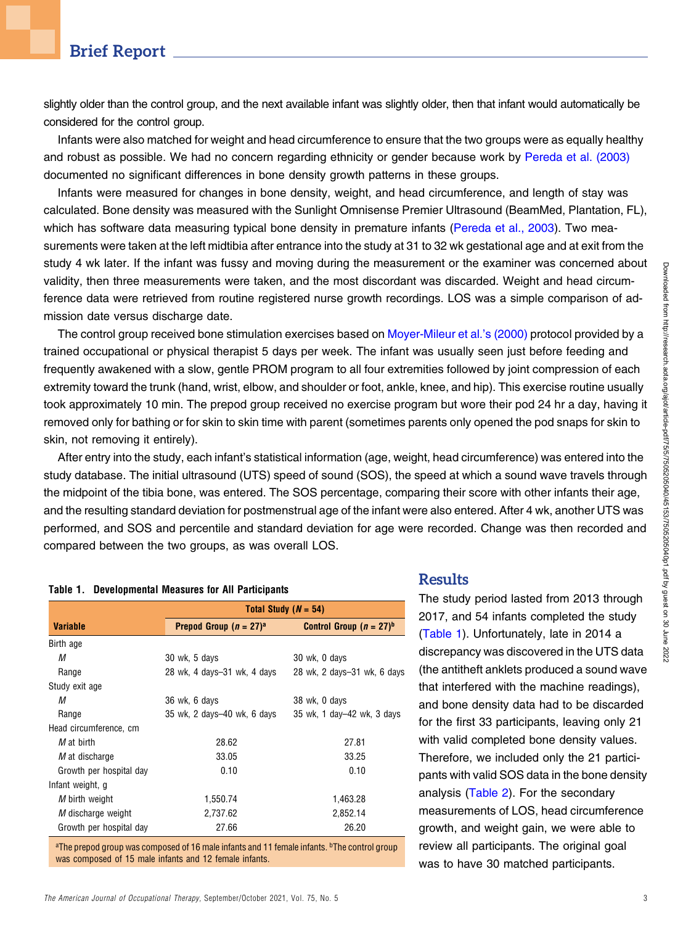slightly older than the control group, and the next available infant was slightly older, then that infant would automatically be considered for the control group.

Infants were also matched for weight and head circumference to ensure that the two groups were as equally healthy and robust as possible. We had no concern regarding ethnicity or gender because work by [Pereda et al. \(2003\)](#page-6-8) documented no significant differences in bone density growth patterns in these groups.

Infants were measured for changes in bone density, weight, and head circumference, and length of stay was calculated. Bone density was measured with the Sunlight Omnisense Premier Ultrasound (BeamMed, Plantation, FL), which has software data measuring typical bone density in premature infants [\(Pereda et al., 2003](#page-6-8)). Two measurements were taken at the left midtibia after entrance into the study at 31 to 32 wk gestational age and at exit from the study 4 wk later. If the infant was fussy and moving during the measurement or the examiner was concerned about validity, then three measurements were taken, and the most discordant was discarded. Weight and head circumference data were retrieved from routine registered nurse growth recordings. LOS was a simple comparison of admission date versus discharge date.

The control group received bone stimulation exercises based on [Moyer-Mileur et al.](#page-6-2)'s (2000) protocol provided by a trained occupational or physical therapist 5 days per week. The infant was usually seen just before feeding and frequently awakened with a slow, gentle PROM program to all four extremities followed by joint compression of each extremity toward the trunk (hand, wrist, elbow, and shoulder or foot, ankle, knee, and hip). This exercise routine usually took approximately 10 min. The prepod group received no exercise program but wore their pod 24 hr a day, having it removed only for bathing or for skin to skin time with parent (sometimes parents only opened the pod snaps for skin to skin, not removing it entirely).

After entry into the study, each infant's statistical information (age, weight, head circumference) was entered into the study database. The initial ultrasound (UTS) speed of sound (SOS), the speed at which a sound wave travels through the midpoint of the tibia bone, was entered. The SOS percentage, comparing their score with other infants their age, and the resulting standard deviation for postmenstrual age of the infant were also entered. After 4 wk, another UTS was performed, and SOS and percentile and standard deviation for age were recorded. Change was then recorded and compared between the two groups, as was overall LOS.

#### <span id="page-2-0"></span>Table 1. Developmental Measures for All Participants

|                         | Total Study ( $N = 54$ )    |                             |  |  |
|-------------------------|-----------------------------|-----------------------------|--|--|
| <b>Variable</b>         | Prepod Group $(n = 27)^a$   | Control Group $(n = 27)^b$  |  |  |
| Birth age               |                             |                             |  |  |
| М                       | 30 wk, 5 days               | 30 wk, 0 days               |  |  |
| Range                   | 28 wk, 4 days-31 wk, 4 days | 28 wk, 2 days-31 wk, 6 days |  |  |
| Study exit age          |                             |                             |  |  |
| М                       | 36 wk, 6 days               | 38 wk, 0 days               |  |  |
| Range                   | 35 wk, 2 days-40 wk, 6 days | 35 wk, 1 day–42 wk, 3 days  |  |  |
| Head circumference, cm  |                             |                             |  |  |
| M at birth              | 28.62                       | 27.81                       |  |  |
| M at discharge          | 33.05                       | 33.25                       |  |  |
| Growth per hospital day | 0.10                        | 0.10                        |  |  |
| Infant weight, g        |                             |                             |  |  |
| M birth weight          | 1,550.74                    | 1,463.28                    |  |  |
| M discharge weight      | 2,737.62                    | 2,852.14                    |  |  |
| Growth per hospital day | 27.66                       | 26.20                       |  |  |

<sup>a</sup>The prepod group was composed of 16 male infants and 11 female infants. <sup>b</sup>The control group was composed of 15 male infants and 12 female infants.

## **Results**

The study period lasted from 2013 through 2017, and 54 infants completed the study ([Table 1](#page-2-0)). Unfortunately, late in 2014 a discrepancy was discovered in the UTS data (the antitheft anklets produced a sound wave that interfered with the machine readings), and bone density data had to be discarded for the first 33 participants, leaving only 21 with valid completed bone density values. Therefore, we included only the 21 participants with valid SOS data in the bone density analysis [\(Table 2\)](#page-3-0). For the secondary measurements of LOS, head circumference growth, and weight gain, we were able to review all participants. The original goal was to have 30 matched participants.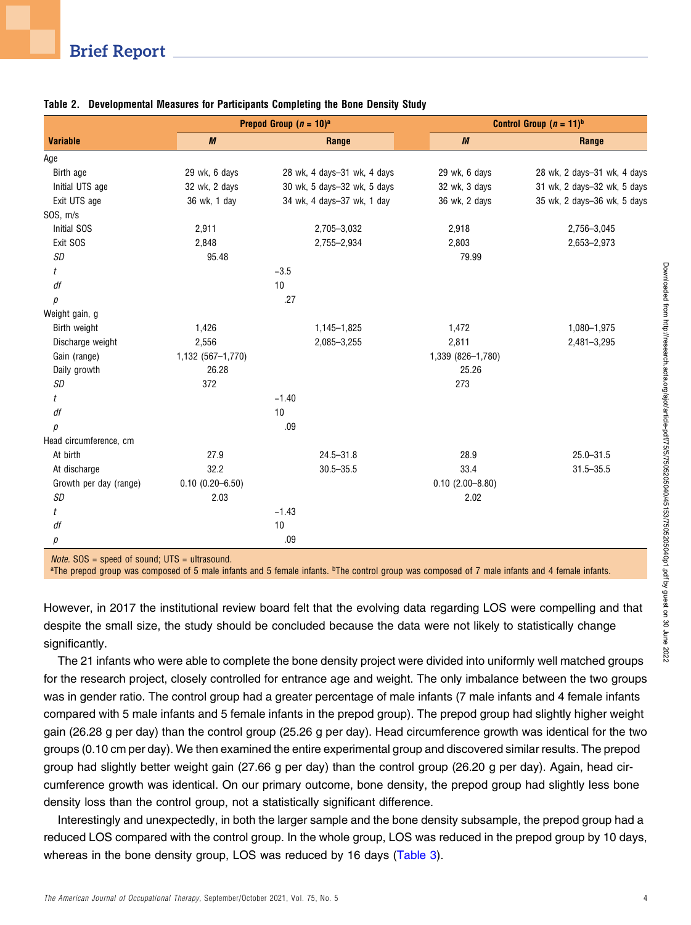|                        |                        | Prepod Group $(n = 10)^a$   |                     | Control Group $(n = 11)^b$  |  |
|------------------------|------------------------|-----------------------------|---------------------|-----------------------------|--|
| <b>Variable</b>        | $\boldsymbol{M}$       | Range                       | $\boldsymbol{M}$    | Range                       |  |
| Age                    |                        |                             |                     |                             |  |
| Birth age              | 29 wk, 6 days          | 28 wk, 4 days-31 wk, 4 days | 29 wk, 6 days       | 28 wk, 2 days-31 wk, 4 days |  |
| Initial UTS age        | 32 wk, 2 days          | 30 wk, 5 days-32 wk, 5 days | 32 wk, 3 days       | 31 wk, 2 days-32 wk, 5 days |  |
| Exit UTS age           | 36 wk, 1 day           | 34 wk, 4 days-37 wk, 1 day  | 36 wk, 2 days       | 35 wk, 2 days-36 wk, 5 days |  |
| SOS, m/s               |                        |                             |                     |                             |  |
| Initial SOS            | 2,911                  | 2,705-3,032                 | 2,918               | 2,756-3,045                 |  |
| Exit SOS               | 2,848                  | 2,755-2,934                 | 2,803               | 2,653-2,973                 |  |
| SD                     | 95.48                  |                             | 79.99               |                             |  |
| t                      |                        | $-3.5$                      |                     |                             |  |
| df                     |                        | 10                          |                     |                             |  |
| р                      |                        | .27                         |                     |                             |  |
| Weight gain, g         |                        |                             |                     |                             |  |
| Birth weight           | 1,426                  | 1,145-1,825                 | 1,472               | 1,080-1,975                 |  |
| Discharge weight       | 2,556                  | 2,085-3,255                 | 2,811               | 2,481-3,295                 |  |
| Gain (range)           | 1,132 (567-1,770)      |                             | 1,339 (826-1,780)   |                             |  |
| Daily growth           | 26.28                  |                             | 25.26               |                             |  |
| SD                     | 372                    |                             | 273                 |                             |  |
| t                      |                        | $-1.40$                     |                     |                             |  |
| df                     |                        | 10                          |                     |                             |  |
| р                      |                        | .09                         |                     |                             |  |
| Head circumference, cm |                        |                             |                     |                             |  |
| At birth               | 27.9                   | $24.5 - 31.8$               | 28.9                | $25.0 - 31.5$               |  |
| At discharge           | 32.2                   | $30.5 - 35.5$               | 33.4                | $31.5 - 35.5$               |  |
| Growth per day (range) | $0.10$ $(0.20 - 6.50)$ |                             | $0.10(2.00 - 8.80)$ |                             |  |
| SD                     | 2.03                   |                             | 2.02                |                             |  |
| t                      |                        | $-1.43$                     |                     |                             |  |
| df                     |                        | 10                          |                     |                             |  |
| р                      |                        | .09                         |                     |                             |  |
|                        |                        |                             |                     |                             |  |

#### <span id="page-3-0"></span>Table 2. Developmental Measures for Participants Completing the Bone Density Study

Note. SOS = speed of sound; UTS = ultrasound.

<sup>a</sup>The prepod group was composed of 5 male infants and 5 female infants. <sup>b</sup>The control group was composed of 7 male infants and 4 female infants.

However, in 2017 the institutional review board felt that the evolving data regarding LOS were compelling and that despite the small size, the study should be concluded because the data were not likely to statistically change significantly.

The 21 infants who were able to complete the bone density project were divided into uniformly well matched groups for the research project, closely controlled for entrance age and weight. The only imbalance between the two groups was in gender ratio. The control group had a greater percentage of male infants (7 male infants and 4 female infants compared with 5 male infants and 5 female infants in the prepod group). The prepod group had slightly higher weight gain (26.28 g per day) than the control group (25.26 g per day). Head circumference growth was identical for the two groups (0.10 cm per day). We then examined the entire experimental group and discovered similar results. The prepod group had slightly better weight gain (27.66 g per day) than the control group (26.20 g per day). Again, head circumference growth was identical. On our primary outcome, bone density, the prepod group had slightly less bone density loss than the control group, not a statistically significant difference.

Interestingly and unexpectedly, in both the larger sample and the bone density subsample, the prepod group had a reduced LOS compared with the control group. In the whole group, LOS was reduced in the prepod group by 10 days, whereas in the bone density group, LOS was reduced by 16 days [\(Table 3\)](#page-4-0).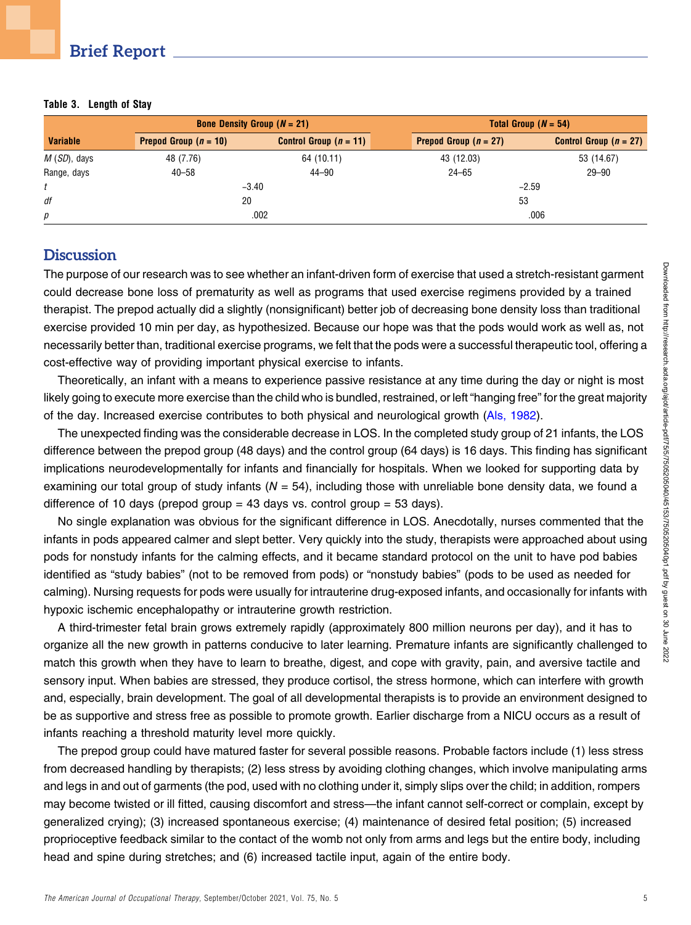| <b>Bone Density Group (<math>N = 21</math>)</b> |                         |                          |                         | Total Group $(N = 54)$   |  |  |
|-------------------------------------------------|-------------------------|--------------------------|-------------------------|--------------------------|--|--|
| <b>Variable</b>                                 | Prepod Group $(n = 10)$ | Control Group $(n = 11)$ | Prepod Group $(n = 27)$ | Control Group $(n = 27)$ |  |  |
| $M(SD)$ , days                                  | 48 (7.76)               | 64 (10.11)               | 43 (12.03)              | 53 (14.67)               |  |  |
| Range, days                                     | $40 - 58$               | $44 - 90$                | $24 - 65$               | $29 - 90$                |  |  |
|                                                 |                         | $-3.40$                  |                         | $-2.59$                  |  |  |
| df                                              |                         | 20                       |                         | 53                       |  |  |
| р                                               |                         | .002                     |                         | .006                     |  |  |

#### <span id="page-4-0"></span>Table 3. Length of Stay

### **Discussion**

The purpose of our research was to see whether an infant-driven form of exercise that used a stretch-resistant garment could decrease bone loss of prematurity as well as programs that used exercise regimens provided by a trained therapist. The prepod actually did a slightly (nonsignificant) better job of decreasing bone density loss than traditional exercise provided 10 min per day, as hypothesized. Because our hope was that the pods would work as well as, not necessarily better than, traditional exercise programs, we felt that the pods were a successful therapeutic tool, offering a cost-effective way of providing important physical exercise to infants.

Theoretically, an infant with a means to experience passive resistance at any time during the day or night is most likely going to execute more exercise than the child who is bundled, restrained, or left "hanging free" for the great majority of the day. Increased exercise contributes to both physical and neurological growth [\(Als, 1982](#page-5-0)).

The unexpected finding was the considerable decrease in LOS. In the completed study group of 21 infants, the LOS difference between the prepod group (48 days) and the control group (64 days) is 16 days. This finding has significant implications neurodevelopmentally for infants and financially for hospitals. When we looked for supporting data by examining our total group of study infants ( $N = 54$ ), including those with unreliable bone density data, we found a difference of 10 days (prepod group  $= 43$  days vs. control group  $= 53$  days).

No single explanation was obvious for the significant difference in LOS. Anecdotally, nurses commented that the infants in pods appeared calmer and slept better. Very quickly into the study, therapists were approached about using pods for nonstudy infants for the calming effects, and it became standard protocol on the unit to have pod babies identified as "study babies" (not to be removed from pods) or "nonstudy babies" (pods to be used as needed for calming). Nursing requests for pods were usually for intrauterine drug-exposed infants, and occasionally for infants with hypoxic ischemic encephalopathy or intrauterine growth restriction.

A third-trimester fetal brain grows extremely rapidly (approximately 800 million neurons per day), and it has to organize all the new growth in patterns conducive to later learning. Premature infants are significantly challenged to match this growth when they have to learn to breathe, digest, and cope with gravity, pain, and aversive tactile and sensory input. When babies are stressed, they produce cortisol, the stress hormone, which can interfere with growth and, especially, brain development. The goal of all developmental therapists is to provide an environment designed to be as supportive and stress free as possible to promote growth. Earlier discharge from a NICU occurs as a result of infants reaching a threshold maturity level more quickly.

The prepod group could have matured faster for several possible reasons. Probable factors include (1) less stress from decreased handling by therapists; (2) less stress by avoiding clothing changes, which involve manipulating arms and legs in and out of garments (the pod, used with no clothing under it, simply slips over the child; in addition, rompers may become twisted or ill fitted, causing discomfort and stress—the infant cannot self-correct or complain, except by generalized crying); (3) increased spontaneous exercise; (4) maintenance of desired fetal position; (5) increased proprioceptive feedback similar to the contact of the womb not only from arms and legs but the entire body, including head and spine during stretches; and (6) increased tactile input, again of the entire body.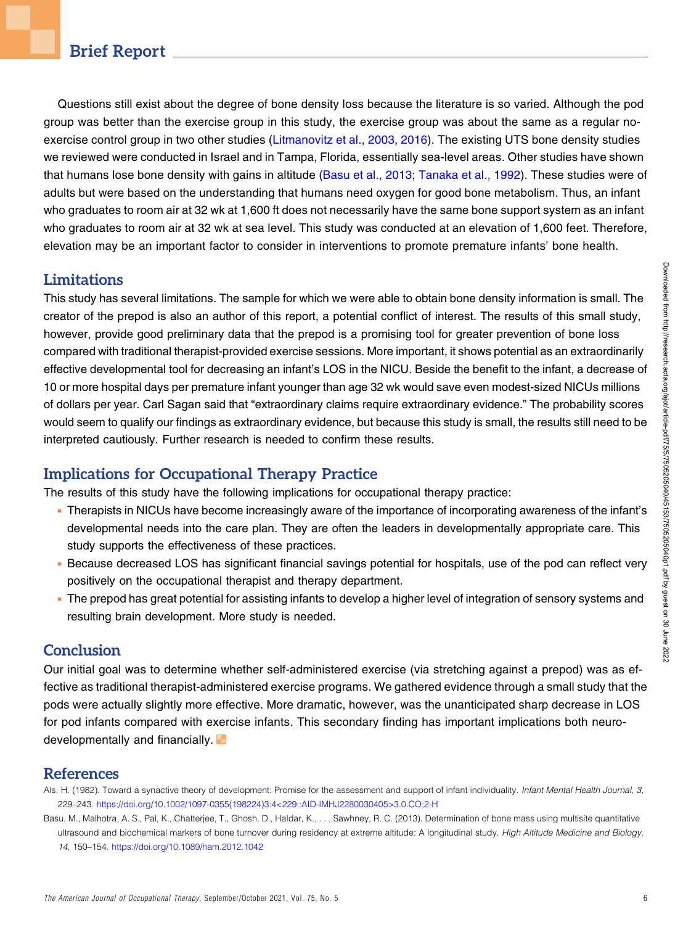Questions still exist about the degree of bone density loss because the literature is so varied. Although the pod group was better than the exercise group in this study, the exercise group was about the same as a regular no-exercise control group in two other studies ([Litmanovitz et al., 2003](#page-6-6), [2016\)](#page-6-7). The existing UTS bone density studies we reviewed were conducted in Israel and in Tampa, Florida, essentially sea-level areas. Other studies have shown that humans lose bone density with gains in altitude [\(Basu et al., 2013;](#page-5-1) [Tanaka et al., 1992\)](#page-6-9). These studies were of adults but were based on the understanding that humans need oxygen for good bone metabolism. Thus, an infant who graduates to room air at 32 wk at 1,600 ft does not necessarily have the same bone support system as an infant who graduates to room air at 32 wk at sea level. This study was conducted at an elevation of 1,600 feet. Therefore, elevation may be an important factor to consider in interventions to promote premature infants' bone health.

# **Limitations**

This study has several limitations. The sample for which we were able to obtain bone density information is small. The creator of the prepod is also an author of this report, a potential conflict of interest. The results of this small study, however, provide good preliminary data that the prepod is a promising tool for greater prevention of bone loss compared with traditional therapist-provided exercise sessions. More important, it shows potential as an extraordinarily effective developmental tool for decreasing an infant's LOS in the NICU. Beside the benefit to the infant, a decrease of 10 or more hospital days per premature infant younger than age 32 wk would save even modest-sized NICUs millions of dollars per year. Carl Sagan said that "extraordinary claims require extraordinary evidence." The probability scores would seem to qualify our findings as extraordinary evidence, but because this study is small, the results still need to be interpreted cautiously. Further research is needed to confirm these results.

# Implications for Occupational Therapy Practice

The results of this study have the following implications for occupational therapy practice:

- <sup>n</sup> Therapists in NICUs have become increasingly aware of the importance of incorporating awareness of the infant's developmental needs into the care plan. They are often the leaders in developmentally appropriate care. This study supports the effectiveness of these practices.
- <sup>n</sup> Because decreased LOS has significant financial savings potential for hospitals, use of the pod can reflect very positively on the occupational therapist and therapy department.
- <sup>n</sup> The prepod has great potential for assisting infants to develop a higher level of integration of sensory systems and resulting brain development. More study is needed.

# **Conclusion**

Our initial goal was to determine whether self-administered exercise (via stretching against a prepod) was as effective as traditional therapist-administered exercise programs. We gathered evidence through a small study that the pods were actually slightly more effective. More dramatic, however, was the unanticipated sharp decrease in LOS for pod infants compared with exercise infants. This secondary finding has important implications both neurodevelopmentally and financially.

## References

- <span id="page-5-0"></span>Als, H. (1982). Toward a synactive theory of development: Promise for the assessment and support of infant individuality. Infant Mental Health Journal, 3, 229–243. [https://doi.org/10.1002/1097-0355\(198224\)3:4<229::AID-IMHJ2280030405>3.0.CO;2-H](https://doi.org/10.1002/1097-0355(198224)3:4<229::AID-IMHJ2280030405>3.0.CO;2-H)
- <span id="page-5-1"></span>Basu, M., Malhotra, A. S., Pal, K., Chatterjee, T., Ghosh, D., Haldar, K., . . . Sawhney, R. C. (2013). Determination of bone mass using multisite quantitative ultrasound and biochemical markers of bone turnover during residency at extreme altitude: A longitudinal study. High Altitude Medicine and Biology, 14, 150–154. <https://doi.org/10.1089/ham.2012.1042>